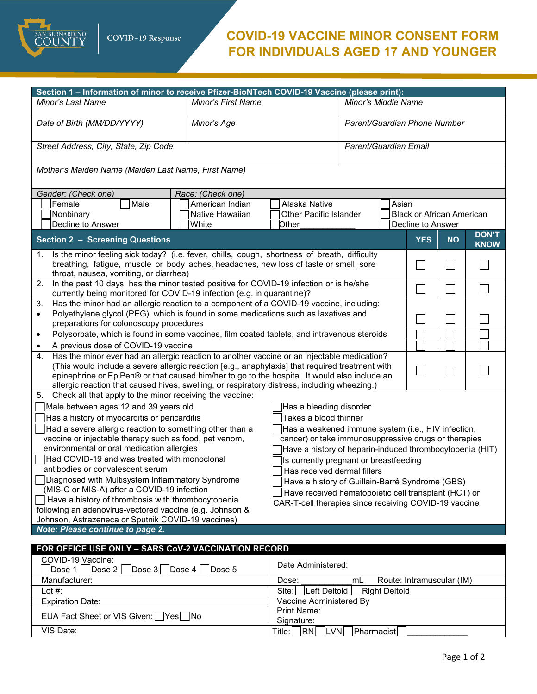

EUA Fact Sheet or VIS Given: □ Yes □ No<br>VIS Date:

## **COVID-19 VACCINE MINOR CONSENT FORM FOR INDIVIDUALS AGED 17 AND YOUNGER**

| Section 1 – Information of minor to receive Pfizer-BioNTech COVID-19 Vaccine (please print):                                                                                                  |                    |                                                      |                       |                                                       |            |           |              |  |
|-----------------------------------------------------------------------------------------------------------------------------------------------------------------------------------------------|--------------------|------------------------------------------------------|-----------------------|-------------------------------------------------------|------------|-----------|--------------|--|
| Minor's Last Name                                                                                                                                                                             | Minor's First Name |                                                      | Minor's Middle Name   |                                                       |            |           |              |  |
|                                                                                                                                                                                               |                    |                                                      |                       |                                                       |            |           |              |  |
| Date of Birth (MM/DD/YYYY)<br>Minor's Age                                                                                                                                                     |                    | Parent/Guardian Phone Number                         |                       |                                                       |            |           |              |  |
|                                                                                                                                                                                               |                    |                                                      |                       |                                                       |            |           |              |  |
| Street Address, City, State, Zip Code                                                                                                                                                         |                    |                                                      | Parent/Guardian Email |                                                       |            |           |              |  |
|                                                                                                                                                                                               |                    |                                                      |                       |                                                       |            |           |              |  |
| Mother's Maiden Name (Maiden Last Name, First Name)                                                                                                                                           |                    |                                                      |                       |                                                       |            |           |              |  |
|                                                                                                                                                                                               |                    |                                                      |                       |                                                       |            |           |              |  |
| Gender: (Check one)                                                                                                                                                                           | Race: (Check one)  |                                                      |                       |                                                       |            |           |              |  |
| Female<br>Male                                                                                                                                                                                | American Indian    | Alaska Native<br>Asian                               |                       |                                                       |            |           |              |  |
| Nonbinary<br>Decline to Answer                                                                                                                                                                | Native Hawaiian    | <b>Other Pacific Islander</b>                        |                       | <b>Black or African American</b><br>Decline to Answer |            |           |              |  |
|                                                                                                                                                                                               | White              | Other                                                |                       |                                                       |            |           | <b>DON'T</b> |  |
| <b>Section 2 - Screening Questions</b>                                                                                                                                                        |                    |                                                      |                       |                                                       | <b>YES</b> | <b>NO</b> | <b>KNOW</b>  |  |
| Is the minor feeling sick today? (i.e. fever, chills, cough, shortness of breath, difficulty<br>1.                                                                                            |                    |                                                      |                       |                                                       |            |           |              |  |
| breathing, fatigue, muscle or body aches, headaches, new loss of taste or smell, sore                                                                                                         |                    |                                                      |                       |                                                       | $\sim$     |           |              |  |
| throat, nausea, vomiting, or diarrhea)                                                                                                                                                        |                    |                                                      |                       |                                                       |            |           |              |  |
| In the past 10 days, has the minor tested positive for COVID-19 infection or is he/she<br>2.<br>currently being monitored for COVID-19 infection (e.g. in quarantine)?                        |                    |                                                      |                       |                                                       |            |           |              |  |
| Has the minor had an allergic reaction to a component of a COVID-19 vaccine, including:<br>3.                                                                                                 |                    |                                                      |                       |                                                       |            |           |              |  |
| Polyethylene glycol (PEG), which is found in some medications such as laxatives and<br>$\bullet$                                                                                              |                    |                                                      |                       |                                                       |            |           |              |  |
| preparations for colonoscopy procedures                                                                                                                                                       |                    |                                                      |                       |                                                       |            |           |              |  |
| Polysorbate, which is found in some vaccines, film coated tablets, and intravenous steroids<br>$\bullet$                                                                                      |                    |                                                      |                       |                                                       |            |           |              |  |
| A previous dose of COVID-19 vaccine<br>$\bullet$                                                                                                                                              |                    |                                                      |                       |                                                       |            |           |              |  |
| Has the minor ever had an allergic reaction to another vaccine or an injectable medication?<br>4.                                                                                             |                    |                                                      |                       |                                                       |            |           |              |  |
| (This would include a severe allergic reaction [e.g., anaphylaxis] that required treatment with                                                                                               |                    |                                                      |                       |                                                       |            |           |              |  |
| epinephrine or EpiPen® or that caused him/her to go to the hospital. It would also include an<br>allergic reaction that caused hives, swelling, or respiratory distress, including wheezing.) |                    |                                                      |                       |                                                       |            |           |              |  |
| Check all that apply to the minor receiving the vaccine:<br>5.                                                                                                                                |                    |                                                      |                       |                                                       |            |           |              |  |
| Male between ages 12 and 39 years old                                                                                                                                                         |                    | Has a bleeding disorder                              |                       |                                                       |            |           |              |  |
| Has a history of myocarditis or pericarditis<br>Takes a blood thinner                                                                                                                         |                    |                                                      |                       |                                                       |            |           |              |  |
| Had a severe allergic reaction to something other than a<br>Has a weakened immune system (i.e., HIV infection,                                                                                |                    |                                                      |                       |                                                       |            |           |              |  |
| vaccine or injectable therapy such as food, pet venom,                                                                                                                                        |                    | cancer) or take immunosuppressive drugs or therapies |                       |                                                       |            |           |              |  |
| environmental or oral medication allergies<br>Have a history of heparin-induced thrombocytopenia (HIT)                                                                                        |                    |                                                      |                       |                                                       |            |           |              |  |
| Had COVID-19 and was treated with monoclonal<br>Is currently pregnant or breastfeeding                                                                                                        |                    |                                                      |                       |                                                       |            |           |              |  |
| antibodies or convalescent serum<br>Has received dermal fillers                                                                                                                               |                    |                                                      |                       |                                                       |            |           |              |  |
| Diagnosed with Multisystem Inflammatory Syndrome<br>Have a history of Guillain-Barré Syndrome (GBS)<br>(MIS-C or MIS-A) after a COVID-19 infection                                            |                    |                                                      |                       |                                                       |            |           |              |  |
| Have received hematopoietic cell transplant (HCT) or<br>Have a history of thrombosis with thrombocytopenia                                                                                    |                    |                                                      |                       |                                                       |            |           |              |  |
| CAR-T-cell therapies since receiving COVID-19 vaccine<br>following an adenovirus-vectored vaccine (e.g. Johnson &                                                                             |                    |                                                      |                       |                                                       |            |           |              |  |
| Johnson, Astrazeneca or Sputnik COVID-19 vaccines)                                                                                                                                            |                    |                                                      |                       |                                                       |            |           |              |  |
| Note: Please continue to page 2.                                                                                                                                                              |                    |                                                      |                       |                                                       |            |           |              |  |
| FOR OFFICE USE ONLY - SARS CoV-2 VACCINATION RECORD                                                                                                                                           |                    |                                                      |                       |                                                       |            |           |              |  |
| COVID-19 Vaccine:                                                                                                                                                                             |                    |                                                      |                       |                                                       |            |           |              |  |
| $\vert$ Dose 2<br>Dose 1<br> Dose~3                                                                                                                                                           | Dose 4<br>Dose 5   | Date Administered:                                   |                       |                                                       |            |           |              |  |
| Manufacturer:                                                                                                                                                                                 |                    | mL<br>Route: Intramuscular (IM)<br>Dose:             |                       |                                                       |            |           |              |  |
| Lot $#$ :                                                                                                                                                                                     |                    | Left Deltoid<br><b>Right Deltoid</b><br>Site:        |                       |                                                       |            |           |              |  |
| <b>Expiration Date:</b>                                                                                                                                                                       |                    | Vaccine Administered By                              |                       |                                                       |            |           |              |  |

Print Name:<br>Signature:

Title: RN LVN Pharmacist